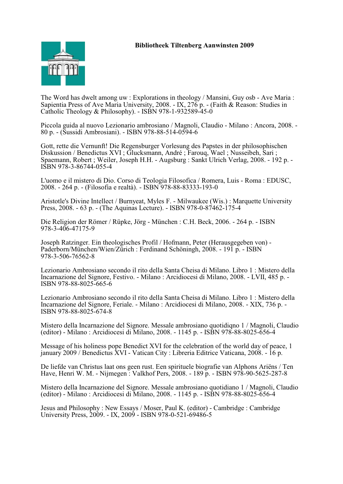

The Word has dwelt among uw : Explorations in theology / Mansini, Guy osb - Ave Maria : Sapientia Press of Ave Maria University, 2008. - IX, 276 p. - (Faith & Reason: Studies in Catholic Theology & Philosophy). - ISBN 978-1-932589-45-0

Piccola guida al nuovo Lezionario ambrosiano / Magnoli, Claudio - Milano : Ancora, 2008. - 80 p. - (Sussidi Ambrosiani). - ISBN 978-88-514-0594-6

Gott, rette die Vernunft! Die Regensburger Vorlesung des Papstes in der philosophischen Diskussion / Benedictus XVI ; Glucksmann, André ; Farouq, Wael ; Nusseibeh, Sari ; Spaemann, Robert ; Weiler, Joseph H.H. - Augsburg : Sankt Ulrich Verlag, 2008. - 192 p. - ISBN 978-3-86744-055-4

L'uomo e il mistero di Dio. Corso di Teologia Filosofica / Romera, Luis - Roma : EDUSC, 2008. - 264 p. - (Filosofia e realtà). - ISBN 978-88-83333-193-0

Aristotle's Divine Intellect / Burnyeat, Myles F. - Milwaukee (Wis.) : Marquette University Press, 2008. - 63 p. - (The Aquinas Lecture). - ISBN 978-0-87462-175-4

Die Religion der Römer / Rüpke, Jörg - München : C.H. Beck, 2006. - 264 p. - ISBN 978-3-406-47175-9

Joseph Ratzinger. Ein theologisches Profil / Hofmann, Peter (Herausgegeben von) - Paderborn/München/Wien/Zürich : Ferdinand Schöningh, 2008. - 191 p. - ISBN 978-3-506-76562-8

Lezionario Ambrosiano secondo il rito della Santa Cheisa di Milano. Libro 1 : Mistero della Incarnazione del Signore, Festivo. - Milano : Arcidiocesi di Milano, 2008. - LVII, 485 p. - ISBN 978-88-8025-665-6

Lezionario Ambrosiano secondo il rito della Santa Cheisa di Milano. Libro 1 : Mistero della Incarnazione del Signore, Feriale. - Milano : Arcidiocesi di Milano, 2008. - XIX, 736 p. - ISBN 978-88-8025-674-8

Mistero della Incarnazione del Signore. Messale ambrosiano quotidiqno 1 / Magnoli, Claudio (editor) - Milano : Arcidiocesi di Milano, 2008. - 1145 p. - ISBN 978-88-8025-656-4

Message of his holiness pope Benedict XVI for the celebration of the world day of peace, 1 january 2009 / Benedictus XVI - Vatican City : Libreria Editrice Vaticana, 2008. - 16 p.

De liefde van Christus laat ons geen rust. Een spirituele biografie van Alphons Ariëns / Ten Have, Henri W. M. - Nijmegen : Valkhof Pers, 2008. - 189 p. - ISBN 978-90-5625-287-8

Mistero della Incarnazione del Signore. Messale ambrosiano quotidiano 1 / Magnoli, Claudio (editor) - Milano : Arcidiocesi di Milano, 2008. - 1145 p. - ISBN 978-88-8025-656-4

Jesus and Philosophy : New Essays / Moser, Paul K. (editor) - Cambridge : Cambridge University Press, 2009. - IX, 2009 - ISBN 978-0-521-69486-5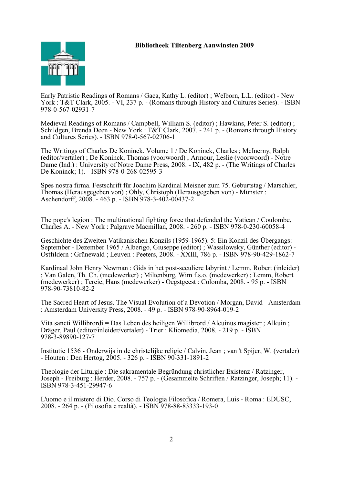

Early Patristic Readings of Romans / Gaca, Kathy L. (editor) ; Welborn, L.L. (editor) - New York : T&T Clark, 2005. - VI, 237 p. - (Romans through History and Cultures Series). - ISBN 978-0-567-02931-7

Medieval Readings of Romans / Campbell, William S. (editor) ; Hawkins, Peter S. (editor) ; Schildgen, Brenda Deen - New York : T&T Clark, 2007. - 241 p. - (Romans through History and Cultures Series). - ISBN 978-0-567-02706-1

The Writings of Charles De Koninck. Volume 1 / De Koninck, Charles ; McInerny, Ralph (editor/vertaler) ; De Koninck, Thomas (voorwoord) ; Armour, Leslie (voorwoord) - Notre Dame (Ind.) : University of Notre Dame Press, 2008. - IX, 482 p. - (The Writings of Charles De Koninck; 1). - ISBN 978-0-268-02595-3

Spes nostra firma. Festschrift für Joachim Kardinal Meisner zum 75. Geburtstag / Marschler, Thomas (Herausgegeben von) ; Ohly, Christoph (Herausgegeben von) - Münster : Aschendorff, 2008. - 463 p. - ISBN 978-3-402-00437-2

The pope's legion : The multinational fighting force that defended the Vatican / Coulombe, Charles A. - New York : Palgrave Macmillan, 2008. - 260 p. - ISBN 978-0-230-60058-4

Geschichte des Zweiten Vatikanischen Konzils (1959-1965). 5: Ein Konzil des Übergangs: September - Dezember 1965 / Alberigo, Giuseppe (editor) ; Wassilowsky, Günther (editor) - Ostfildern : Grünewald ; Leuven : Peeters, 2008. - XXIII, 786 p. - ISBN 978-90-429-1862-7

Kardinaal John Henry Newman : Gids in het post-seculiere labyrint / Lemm, Robert (inleider) ; Van Galen, Th. Ch. (medewerker) ; Miltenburg, Wim f.s.o. (medewerker) ; Lemm, Robert (medewerker) ; Tercic, Hans (medewerker) - Oegstgeest : Colomba, 2008. - 95 p. - ISBN 978-90-73810-82-2

The Sacred Heart of Jesus. The Visual Evolution of a Devotion / Morgan, David - Amsterdam : Amsterdam University Press, 2008. - 49 p. - ISBN 978-90-8964-019-2

Vita sancti Willibrordi = Das Leben des heiligen Willibrord / Alcuinus magister ; Alkuin ; Dräger, Paul (editor/inleider/vertaler) - Trier : Kliomedia, 2008. - 219 p. - ISBN 978-3-89890-127-7

Institutie 1536 - Onderwijs in de christelijke religie / Calvin, Jean ; van 't Spijer, W. (vertaler) - Houten : Den Hertog, 2005. - 326 p. - ISBN 90-331-1891-2

Theologie der Liturgie : Die sakramentale Begründung christlicher Existenz / Ratzinger, Joseph - Freiburg : Herder, 2008. - 757 p. - (Gesammelte Schriften / Ratzinger, Joseph; 11). - ISBN 978-3-451-29947-6

L'uomo e il mistero di Dio. Corso di Teologia Filosofica / Romera, Luis - Roma : EDUSC, 2008. - 264 p. - (Filosofia e realtà). - ISBN 978-88-83333-193-0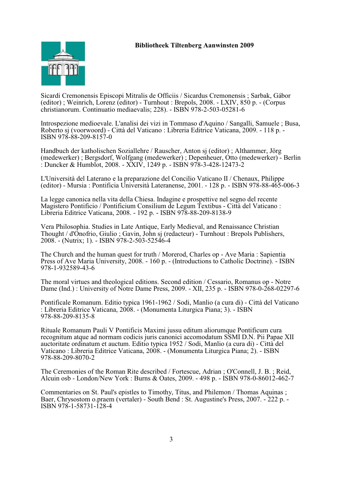

Sicardi Cremonensis Episcopi Mitralis de Officiis / Sicardus Cremonensis ; Sarbak, Gábor (editor) ; Weinrich, Lorenz (editor) - Turnhout : Brepols, 2008. - LXIV, 850 p. - (Corpus christianorum. Continuatio mediaevalis; 228). - ISBN 978-2-503-05281-6

Introspezione medioevale. L'analisi dei vizi in Tommaso d'Aquino / Sangalli, Samuele ; Busa, Roberto sj (voorwoord) - Città del Vaticano : Libreria Editrice Vaticana, 2009. - 118 p. - ISBN 978-88-209-8157-0

Handbuch der katholischen Soziallehre / Rauscher, Anton sj (editor) ; Althammer, Jörg (medewerker) ; Bergsdorf, Wolfgang (medewerker) ; Depenheuer, Otto (medewerker) - Berlin : Duncker & Humblot, 2008. - XXIV, 1249 p. - ISBN 978-3-428-12473-2

L'Università del Laterano e la preparazione del Concilio Vaticano II / Chenaux, Philippe (editor) - Mursia : Pontificia Università Lateranense, 2001. - 128 p. - ISBN 978-88-465-006-3

La legge canonica nella vita della Chiesa. Indagine e prospettive nel segno del recente Magistero Pontificio / Pontificium Consilium de Legum Textibus - Città del Vaticano : Libreria Editrice Vaticana, 2008. - 192 p. - ISBN 978-88-209-8138-9

Vera Philosophia. Studies in Late Antique, Early Medieval, and Renaissance Christian Thought / d'Onofrio, Giulio ; Gavin, John sj (redacteur) - Turnhout : Brepols Publishers, 2008. - (Nutrix; 1). - ISBN 978-2-503-52546-4

The Church and the human quest for truth / Morerod, Charles op - Ave Maria : Sapientia Press of Ave Maria University, 2008. - 160 p. - (Introductions to Catholic Doctrine). - ISBN 978-1-932589-43-6

The moral virtues and theological editions. Second edition / Cessario, Romanus op - Notre Dame (Ind.) : University of Notre Dame Press, 2009. - XII, 235 p. - ISBN 978-0-268-02297-6

Pontificale Romanum. Editio typica 1961-1962 / Sodi, Manlio (a cura di) - Città del Vaticano : Libreria Editrice Vaticana, 2008. - (Monumenta Liturgica Piana; 3). - ISBN 978-88-209-8135-8

Rituale Romanum Pauli V Pontificis Maximi jussu editum aliorumque Pontificum cura recognitum atque ad normam codicis juris canonici accomodatum SSMI D.N. Pii Papae XII auctoritate ordinatum et auctum. Editio typica 1952 / Sodi, Manlio (a cura di) - Città del Vaticano : Libreria Editrice Vaticana, 2008. - (Monumenta Liturgica Piana; 2). - ISBN 978-88-209-8070-2

The Ceremonies of the Roman Rite described / Fortescue, Adrian ; O'Connell, J. B. ; Reid, Alcuin osb - London/New York : Burns & Oates, 2009. - 498 p. - ISBN 978-0-86012-462-7

Commentaries on St. Paul's epistles to Timothy, Titus, and Philemon / Thomas Aquinas ; Baer, Chrysostom o.praem (vertaler) - South Bend : St. Augustine's Press, 2007. - 222 p. - ISBN 978-1-58731-128-4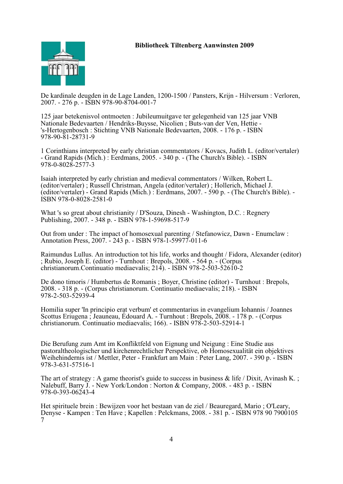

De kardinale deugden in de Lage Landen, 1200-1500 / Pansters, Krijn - Hilversum : Verloren, 2007. - 276 p. - ISBN 978-90-8704-001-7

125 jaar betekenisvol ontmoeten : Jubileumuitgave ter gelegenheid van 125 jaar VNB Nationale Bedevaarten / Hendriks-Buysse, Nicolien ; Buts-van der Ven, Hettie - 's-Hertogenbosch : Stichting VNB Nationale Bedevaarten, 2008. - 176 p. - ISBN 978-90-81-28731-9

1 Corinthians interpreted by early christian commentators / Kovacs, Judith L. (editor/vertaler) - Grand Rapids (Mich.) : Eerdmans, 2005. - 340 p. - (The Church's Bible). - ISBN 978-0-8028-2577-3

Isaiah interpreted by early christian and medieval commentators / Wilken, Robert L. (editor/vertaler) ; Russell Christman, Angela (editor/vertaler) ; Hollerich, Michael J. (editor/vertaler) - Grand Rapids (Mich.) : Eerdmans, 2007. - 590 p. - (The Church's Bible). - ISBN 978-0-8028-2581-0

What 's so great about christianity / D'Souza, Dinesh - Washington, D.C. : Regnery Publishing, 2007. - 348 p. - ISBN 978-1-59698-517-9

Out from under : The impact of homosexual parenting / Stefanowicz, Dawn - Enumclaw : Annotation Press, 2007. - 243 p. - ISBN 978-1-59977-011-6

Raimundus Lullus. An introduction tot his life, works and thought / Fidora, Alexander (editor) ; Rubio, Joseph E. (editor) - Turnhout : Brepols, 2008. - 564 p. - (Corpus christianorum.Continuatio mediaevalis; 214). - ISBN 978-2-503-52610-2

De dono timoris / Humbertus de Romanis ; Boyer, Christine (editor) - Turnhout : Brepols, 2008. - 318 p. - (Corpus christianorum. Continuatio mediaevalis; 218). - ISBN 978-2-503-52939-4

Homilia super 'In principio erat verbum' et commentarius in evangelium Iohannis / Joannes Scottus Eriugena ; Jeauneau, Édouard A. - Turnhout : Brepols, 2008. - 178 p. - (Corpus christianorum. Continuatio mediaevalis; 166). - ISBN 978-2-503-52914-1

Die Berufung zum Amt im Konfliktfeld von Eignung und Neigung : Eine Studie aus pastoraltheologischer und kirchenrechtlicher Perspektive, ob Homosexualität ein objektives Weihehindernis ist / Mettler, Peter - Frankfurt am Main : Peter Lang, 2007. - 390 p. - ISBN 978-3-631-57516-1

The art of strategy : A game theorist's guide to success in business  $\&$  life / Dixit, Avinash K.; Nalebuff, Barry J. - New York/London : Norton & Company, 2008. - 483 p. - ISBN 978-0-393-06243-4

Het spirituele brein : Bewijzen voor het bestaan van de ziel / Beauregard, Mario ; O'Leary, Denyse - Kampen : Ten Have ; Kapellen : Pelckmans, 2008. - 381 p. - ISBN 978 90 7900105 7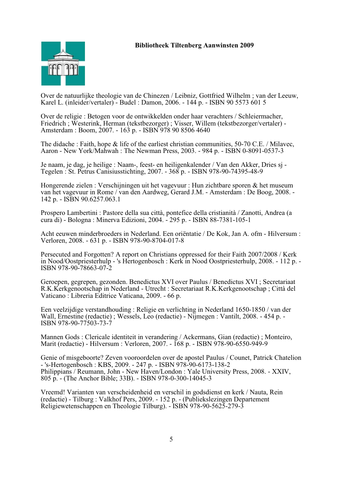

Over de natuurlijke theologie van de Chinezen / Leibniz, Gottfried Wilhelm ; van der Leeuw, Karel L. (inleider/vertaler) - Budel : Damon, 2006. - 144 p. - ISBN 90 5573 601 5

Over de religie : Betogen voor de ontwikkelden onder haar verachters / Schleiermacher, Friedrich ; Westerink, Herman (tekstbezorger) ; Visser, Willem (tekstbezorger/vertaler) - Amsterdam : Boom, 2007. - 163 p. - ISBN 978 90 8506 4640

The didache : Faith, hope & life of the earliest christian communities, 50-70 C.E. / Milavec, Aaron - New York/Mahwah : The Newman Press, 2003. - 984 p. - ISBN 0-8091-0537-3

Je naam, je dag, je heilige : Naam-, feest- en heiligenkalender / Van den Akker, Dries sj - Tegelen : St. Petrus Canisiusstichting, 2007. - 368 p. - ISBN 978-90-74395-48-9

Hongerende zielen : Verschijningen uit het vagevuur : Hun zichtbare sporen & het museum van het vagevuur in Rome / van den Aardweg, Gerard J.M. - Amsterdam : De Boog, 2008. - 142 p. - ISBN 90.6257.063.1

Prospero Lambertini : Pastore della sua città, pontefice della cristianità / Zanotti, Andrea (a cura di) - Bologna : Minerva Edizioni, 2004. - 295 p. - ISBN 88-7381-105-1

Acht eeuwen minderbroeders in Nederland. Een oriëntatie / De Kok, Jan A. ofm - Hilversum : Verloren, 2008. - 631 p. - ISBN 978-90-8704-017-8

Persecuted and Forgotten? A report on Christians oppressed for their Faith 2007/2008 / Kerk in Nood/Oostpriesterhulp - 's Hertogenbosch : Kerk in Nood Oostpriesterhulp, 2008. - 112 p. - ISBN 978-90-78663-07-2

Geroepen, gegrepen, gezonden. Benedictus XVI over Paulus / Benedictus XVI ; Secretariaat R.K.Kerkgenootschap in Nederland - Utrecht : Secretariaat R.K.Kerkgenootschap ; Città del Vaticano : Libreria Editrice Vaticana, 2009. - 66 p.

Een veelzijdige verstandhouding : Religie en verlichting in Nederland 1650-1850 / van der Wall, Ernestine (redactie) ; Wessels, Leo (redactie) - Nijmegen : Vantilt, 2008. - 454 p. - ISBN 978-90-77503-73-7

Mannen Gods : Clericale identiteit in verandering / Ackermans, Gian (redactie) ; Monteiro, Marit (redactie) - Hilversum : Verloren, 2007. - 168 p. - ISBN 978-90-6550-949-9

Genie of misgeboorte? Zeven vooroordelen over de apostel Paulus / Counet, Patrick Chatelion - 's-Hertogenbosch : KBS, 2009. - 247 p. - ISBN 978-90-6173-138-2 Philippians / Reumann, John - New Haven/London : Yale University Press, 2008. - XXIV, 805 p. - (The Anchor Bible; 33B). - ISBN 978-0-300-14045-3

Vreemd! Varianten van verscheidenheid en verschil in godsdienst en kerk / Nauta, Rein (redactie) - Tilburg : Valkhof Pers, 2009. - 152 p. - (Publiekslezingen Departement Religiewetenschappen en Theologie Tilburg). - ISBN 978-90-5625-279-3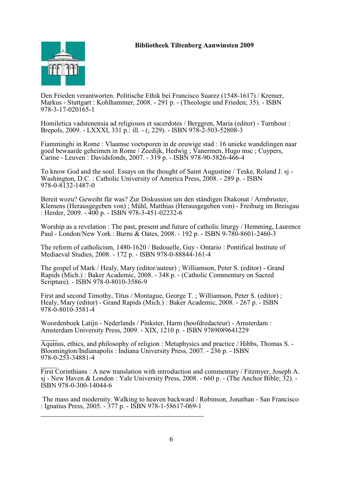

Den Frieden verantworten. Politische Ethik bei Francisco Suarez (1548-1617) / Kremer, Markus - Stuttgart : Kohlhammer, 2008. - 291 p. - (Theologie und Frieden; 35). - ISBN 978-3-17-020165-1

Homiletica vadstenensia ad religiosos et sacerdotes / Berggren, Maria (editor) - Turnhout : Brepols, 2009. - LXXXI, 331 p.: ill. - (; 229). - ISBN 978-2-503-52808-3

Fiamminghi in Rome : Vlaamse voetsporen in de eeuwige stad : 16 unieke wandelingen naar goed bewaarde geheimen in Rome / Zeedijk, Hedwig ; Vanermen, Hugo msc ; Cuypers, Carine - Leuven : Davidsfonds, 2007. - 319 p. - ISBN 978-90-5826-466-4

To know God and the soul. Essays on the thought of Saint Augustine / Teske, Roland J. sj - Washington, D.C. : Catholic University of America Press, 2008. - 289 p. - ISBN 978-0-8132-1487-0

Bereit wozu? Geweiht für was? Zur Diskussion um den ständigen Diakonat / Armbruster, Klemens (Herausgegeben von) ; Mühl, Matthias (Herausgegeben von) - Freiburg im Breisgau : Herder, 2009. - 400 p. - ISBN 978-3-451-02232-6

Worship as a revelation : The past, present and future of catholic liturgy / Hemming, Laurence Paul - London/New York : Burns & Oates, 2008. - 192 p. - ISBN 9-780-8601-2460-3

The reform of catholicism, 1480-1620 / Bedouelle, Guy - Ontario : Pontifical Institute of Mediaeval Studies, 2008. - 172 p. - ISBN 978-0-88844-161-4

The gospel of Mark / Healy, Mary (editor/auteur) ; Williamson, Peter S. (editor) - Grand Rapids (Mich.) : Baker Academic, 2008. - 348 p. - (Catholic Commentary on Sacred Scripture). - ISBN 978-0-8010-3586-9

First and second Timothy, Titus / Montague, George T. ; Williamson, Peter S. (editor) ; Healy, Mary (editor) - Grand Rapids (Mich.) : Baker Academic, 2008. - 267 p. - ISBN 978-0-8010-3581-4

Woordenboek Latijn - Nederlands / Pinkster, Harm (hoofdredacteur) - Amsterdam : Amsterdam University Press, 2009. - XIX, 1210 p. - ISBN 9789089641229

Aquinas, ethics, and philosophy of religion : Metaphysics and practice / Hibbs, Thomas S. - Bloomington/Indianapolis : Indiana University Press, 2007. - 236 p. - ISBN 978-0-253-34881-4

First Corinthians : A new translation with introduction and commentary / Fitzmyer, Joseph A. sj - New Haven & London : Yale University Press, 2008. - 660 p. - (The Anchor Bible; 32). - ISBN 978-0-300-14044-6

 The mass and modernity. Walking to heaven backward / Robinson, Jonathan - San Francisco : Ignatius Press, 2005. - 377 p. - ISBN 978-1-58617-069-1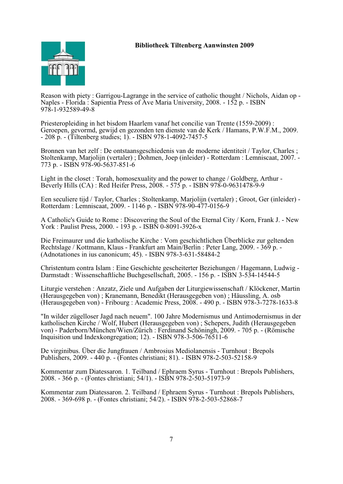

Reason with piety : Garrigou-Lagrange in the service of catholic thought / Nichols, Aidan op - Naples - Florida : Sapientia Press of Ave Maria University, 2008. - 152 p. - ISBN 978-1-932589-49-8

Priesteropleiding in het bisdom Haarlem vanaf het concilie van Trente (1559-2009) : Geroepen, gevormd, gewijd en gezonden ten dienste van de Kerk / Hamans, P.W.F.M., 2009. - 208 p. - (Tiltenberg studies; 1). - ISBN 978-1-4092-7457-5

Bronnen van het zelf : De ontstaansgeschiedenis van de moderne identiteit / Taylor, Charles ; Stoltenkamp, Marjolijn (vertaler) ; Dohmen, Joep (inleider) - Rotterdam : Lemniscaat, 2007. - 773 p. - ISBN 978-90-5637-851-6

Light in the closet : Torah, homosexuality and the power to change / Goldberg, Arthur - Beverly Hills (CA) : Red Heifer Press, 2008. - 575 p. - ISBN 978-0-9631478-9-9

Een seculiere tijd / Taylor, Charles ; Stoltenkamp, Marjolijn (vertaler) ; Groot, Ger (inleider) - Rotterdam : Lemniscaat, 2009. - 1146 p. - ISBN 978-90-477-0156-9

A Catholic's Guide to Rome : Discovering the Soul of the Eternal City / Korn, Frank J. - New York : Paulist Press, 2000. - 193 p. - ISBN 0-8091-3926-x

Die Freimaurer und die katholische Kirche : Vom geschichtlichen Überblicke zur geltenden Rechtslage / Kottmann, Klaus - Frankfurt am Main/Berlin : Peter Lang, 2009. - 369 p. - (Adnotationes in ius canonicum; 45). - ISBN 978-3-631-58484-2

Christentum contra Islam : Eine Geschichte gescheiterter Beziehungen / Hagemann, Ludwig - Darmstadt : Wissenschaftliche Buchgesellschaft, 2005. - 156 p. - ISBN 3-534-14544-5

Liturgie verstehen : Anzatz, Ziele und Aufgaben der Liturgiewissenschaft / Klöckener, Martin (Herausgegeben von) ; Kranemann, Benedikt (Herausgegeben von) ; Häussling, A. osb (Herausgegeben von) - Fribourg : Academic Press, 2008. - 490 p. - ISBN 978-3-7278-1633-8

"In wilder zügelloser Jagd nach neuem". 100 Jahre Modernismus und Antimodernismus in der katholischen Kirche / Wolf, Hubert (Herausgegeben von) ; Schepers, Judith (Herausgegeben von) - Paderborn/München/Wien/Zürich : Ferdinand Schöningh, 2009. - 705 p. - (Römische Inquisition und Indexkongregation; 12). - ISBN 978-3-506-76511-6

De virginibus. Über die Jungfrauen / Ambrosius Mediolanensis - Turnhout : Brepols Publishers, 2009. - 440 p. - (Fontes christiani; 81). - ISBN 978-2-503-52158-9

Kommentar zum Diatessaron. 1. Teilband / Ephraem Syrus - Turnhout : Brepols Publishers, 2008. - 366 p. - (Fontes christiani; 54/1). - ISBN 978-2-503-51973-9

Kommentar zum Diatessaron. 2. Teilband / Ephraem Syrus - Turnhout : Brepols Publishers, 2008. - 369-698 p. - (Fontes christiani; 54/2). - ISBN 978-2-503-52868-7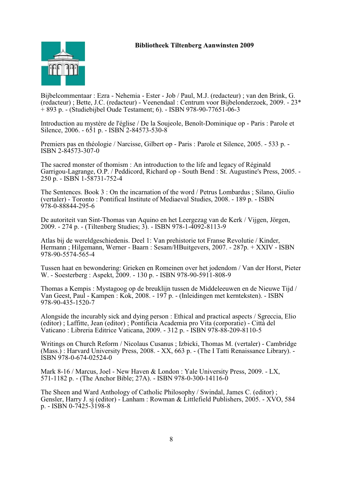

Bijbelcommentaar : Ezra - Nehemia - Ester - Job / Paul, M.J. (redacteur) ; van den Brink, G. (redacteur) ; Bette, J.C. (redacteur) - Veenendaal : Centrum voor Bijbelonderzoek, 2009. - 23\* + 893 p. - (Studiebijbel Oude Testament; 6). - ISBN 978-90-77651-06-3

Introduction au mystère de l'église / De la Soujeole, Benoît-Dominique op - Paris : Parole et Silence, 2006. - 651 p. - ISBN 2-84573-530-8

Premiers pas en théologie / Narcisse, Gilbert op - Paris : Parole et Silence, 2005. - 533 p. - ISBN 2-84573-307-0

The sacred monster of thomism : An introduction to the life and legacy of Réginald Garrigou-Lagrange, O.P. / Peddicord, Richard op - South Bend : St. Augustine's Press, 2005. - 250 p. - ISBN 1-58731-752-4

The Sentences. Book 3 : On the incarnation of the word / Petrus Lombardus ; Silano, Giulio (vertaler) - Toronto : Pontifical Institute of Mediaeval Studies, 2008. - 189 p. - ISBN 978-0-88844-295-6

De autoriteit van Sint-Thomas van Aquino en het Leergezag van de Kerk / Vijgen, Jörgen, 2009. - 274 p. - (Tiltenberg Studies; 3). - ISBN 978-1-4092-8113-9

Atlas bij de wereldgeschiedenis. Deel 1: Van prehistorie tot Franse Revolutie / Kinder, Hermann ; Hilgemann, Werner - Baarn : Sesam/HBuitgevers, 2007. - 287p. + XXIV - ISBN 978-90-5574-565-4

Tussen haat en bewondering: Grieken en Romeinen over het jodendom / Van der Horst, Pieter W. - Soesterberg : Aspekt, 2009. - 130 p. - ISBN 978-90-5911-808-9

Thomas a Kempis : Mystagoog op de breuklijn tussen de Middeleeuwen en de Nieuwe Tijd / Van Geest, Paul - Kampen : Kok, 2008. - 197 p. - (Inleidingen met kernteksten). - ISBN 978-90-435-1520-7

Alongside the incurably sick and dying person : Ethical and practical aspects / Sgreccia, Elio (editor) ; Laffitte, Jean (editor) ; Pontificia Academia pro Vita (corporatie) - Città del Vaticano : Libreria Editrice Vaticana, 2009. - 312 p. - ISBN 978-88-209-8110-5

Writings on Church Reform / Nicolaus Cusanus ; Izbicki, Thomas M. (vertaler) - Cambridge (Mass.) : Harvard University Press, 2008. - XX, 663 p. - (The I Tatti Renaissance Library). - ISBN 978-0-674-02524-0

Mark 8-16 / Marcus, Joel - New Haven & London : Yale University Press, 2009. - LX, 571-1182 p. - (The Anchor Bible; 27A). - ISBN 978-0-300-14116-0

The Sheen and Ward Anthology of Catholic Philosophy / Swindal, James C. (editor) ; Gensler, Harry J. sj (editor) - Lanham : Rowman & Littlefield Publishers, 2005. - XVO, 584 p. - ISBN 0-7425-3198-8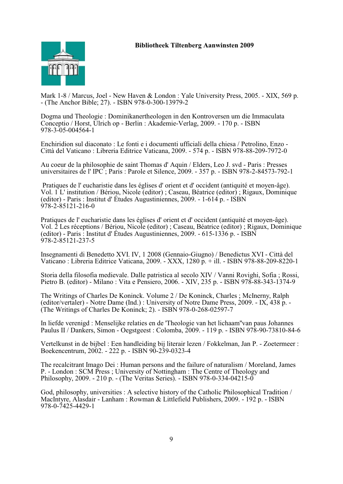

Mark 1-8 / Marcus, Joel - New Haven & London : Yale University Press, 2005. - XIX, 569 p. - (The Anchor Bible; 27). - ISBN 978-0-300-13979-2

Dogma und Theologie : Dominikanertheologen in den Kontroversen um die Immaculata Conceptio / Horst, Ulrich op - Berlin : Akademie-Verlag, 2009. - 170 p. - ISBN 978-3-05-004564-1

Enchiridion sul diaconato : Le fonti e i documenti ufficiali della chiesa / Petrolino, Enzo - Città del Vaticano : Libreria Editrice Vaticana, 2009. - 574 p. - ISBN 978-88-209-7972-0

Au coeur de la philosophie de saint Thomas d' Aquin / Elders, Leo J. svd - Paris : Presses universitaires de l' IPC ; Paris : Parole et Silence, 2009. - 357 p. - ISBN 978-2-84573-792-1

 Pratiques de l' eucharistie dans les églises d' orient et d' occident (antiquité et moyen-âge). Vol. 1 L' institution / Bériou, Nicole (editor) ; Caseau, Béatrice (editor) ; Rigaux, Dominique (editor) - Paris : Institut d' Études Augustiniennes, 2009. - 1-614 p. - ISBN  $\frac{1}{9}$ 78-2-85121-216-0

Pratiques de l' eucharistie dans les églises d' orient et d' occident (antiquité et moyen-âge). Vol. 2 Les réceptions / Bériou, Nicole (editor) ; Caseau, Béatrice (editor) ; Rigaux, Dominique (editor) - Paris : Institut d' Études Augustiniennes, 2009. - 615-1336 p. - ISBN 978-2-85121-237-5

Insegnamenti di Benedetto XVI. IV, 1 2008 (Gennaio-Giugno) / Benedictus XVI - Città del Vaticano : Libreria Editrice Vaticana, 2009. - XXX, 1280 p. + ill. - ISBN 978-88-209-8220-1

Storia della filosofia medievale. Dalle patristica al secolo XIV / Vanni Rovighi, Sofia ; Rossi, Pietro B. (editor) - Milano : Vita e Pensiero, 2006. - XIV, 235 p. - ISBN 978-88-343-1374-9

The Writings of Charles De Koninck. Volume 2 / De Koninck, Charles ; McInerny, Ralph (editor/vertaler) - Notre Dame (Ind.) : University of Notre Dame Press, 2009. - IX, 438 p. - (The Writings of Charles De Koninck; 2). - ISBN 978-0-268-02597-7

In liefde verenigd : Menselijke relaties en de 'Theologie van het lichaam''van paus Johannes Paulus II / Dankers, Simon - Oegstgeest : Colomba, 2009. - 119 p. - ISBN 978-90-73810-84-6

Vertelkunst in de bijbel : Een handleiding bij literair lezen / Fokkelman, Jan P. - Zoetermeer : Boekencentrum, 2002. - 222 p. - ISBN 90-239-0323-4

The recalcitrant Imago Dei : Human persons and the failure of naturalism / Moreland, James P. - London : SCM Press ; University of Nottingham : The Centre of Theology and Philosophy, 2009. - 210 p. - (The Veritas Series). - ISBN 978-0-334-04215-0

God, philosophy, universities : A selective history of the Catholic Philosophical Tradition / MacIntyre, Alasdair - Lanham : Rowman & Littlefield Publishers, 2009. - 192 p. - ISBN 978-0-7425-4429-1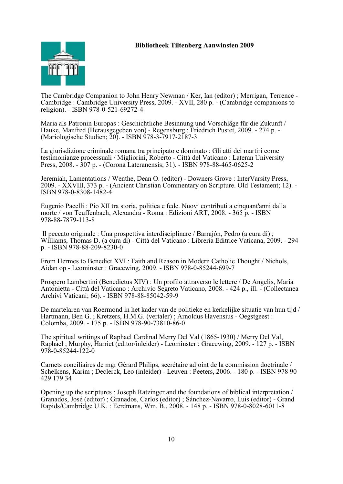

The Cambridge Companion to John Henry Newman / Ker, Ian (editor) ; Merrigan, Terrence - Cambridge : Cambridge University Press, 2009. - XVII, 280 p. - (Cambridge companions to religion). - ISBN 978-0-521-69272-4

Maria als Patronin Europas : Geschichtliche Besinnung und Vorschläge für die Zukunft / Hauke, Manfred (Herausgegeben von) - Regensburg : Friedrich Pustet, 2009. - 274 p. - (Mariologische Studien; 20). - ISBN 978-3-7917-2187-3

La giurisdizione criminale romana tra principato e dominato : Gli atti dei martiri come testimonianze processuali / Migliorini, Roberto - Città del Vaticano : Lateran University Press, 2008. - 307 p. - (Corona Lateranensis; 31). - ISBN 978-88-465-0625-2

Jeremiah, Lamentations / Wenthe, Dean O. (editor) - Downers Grove : InterVarsity Press, 2009. - XXVIII, 373 p. - (Ancient Christian Commentary on Scripture. Old Testament; 12). - ISBN 978-0-8308-1482-4

Eugenio Pacelli : Pio XII tra storia, politica e fede. Nuovi contributi a cinquant'anni dalla morte / von Teuffenbach, Alexandra - Roma : Edizioni ART, 2008. - 365 p. - ISBN 978-88-7879-113-8

 Il peccato originale : Una prospettiva interdisciplinare / Barrajón, Pedro (a cura di) ; Williams, Thomas D. (a cura di) - Città del Vaticano : Libreria Editrice Vaticana, 2009. - 294 p. - ISBN 978-88-209-8230-0

From Hermes to Benedict XVI : Faith and Reason in Modern Catholic Thought / Nichols, Aidan op - Leominster : Gracewing, 2009. - ISBN 978-0-85244-699-7

Prospero Lambertini (Benedictus XIV) : Un profilo attraverso le lettere / De Angelis, Maria Antonietta - Città del Vaticano : Archivio Segreto Vaticano, 2008. - 424 p., ill. - (Collectanea Archivi Vaticani; 66). - ISBN 978-88-85042-59-9

De martelaren van Roermond in het kader van de politieke en kerkelijke situatie van hun tijd / Hartmann, Ben G. ; Kretzers, H.M.G. (vertaler) ; Arnoldus Havensius - Oegstgeest : Colomba, 2009. - 175 p. - ISBN 978-90-73810-86-0

The spiritual writings of Raphael Cardinal Merry Del Val (1865-1930) / Merry Del Val, Raphael ; Murphy, Harriet (editor/inleider) - Leominster : Gracewing, 2009. - 127 p. - ISBN 978-0-85244-122-0

Carnets conciliaires de mgr Gérard Philips, secrétaire adjoint de la commission doctrinale / Schelkens, Karim ; Declerck, Leo (inleider) - Leuven : Peeters, 2006. - 180 p. - ISBN 978 90 429 179 34

Opening up the scriptures : Joseph Ratzinger and the foundations of biblical interpretation / Granados, José (editor) ; Granados, Carlos (editor) ; Sánchez-Navarro, Luis (editor) - Grand Rapids/Cambridge U.K. : Eerdmans, Wm. B., 2008. - 148 p. - ISBN 978-0-8028-6011-8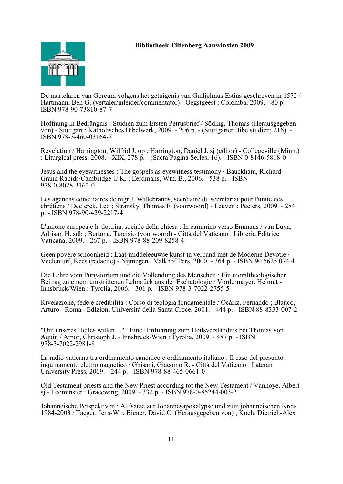

De martelaren van Gorcum volgens het getuigenis van Guilielmus Estius geschreven in 1572 / Hartmann, Ben G. (vertaler/inleider/commentator) - Oegstgeest : Colomba, 2009. - 80 p. - ISBN 978-90-73810-87-7

Hoffnung in Bedrängnis : Studien zum Ersten Petrusbrief / Söding, Thomas (Herausgegeben von) - Stuttgart : Katholisches Bibelwerk, 2009. - 206 p. - (Stuttgarter Bibelstudien; 216). - ISBN 978-3-460-03164-7

Revelation / Harrington, Wilfrid J. op ; Harrington, Daniel J. sj (editor) - Collegeville (Minn.) : Liturgical press, 2008. - XIX, 278 p. - (Sacra Pagina Series; 16). - ISBN 0-8146-5818-0

Jesus and the eyewitnesses : The gospels as eyewitness testimony / Bauckham, Richard - Grand Rapids/Cambridge U.K. : Eerdmans, Wm. B., 2006. - 538 p. - ISBN 978-0-8028-3162-0

Les agendas conciliaires de mgr J. Willebrands, secrétaire du secrétariat pour l'unité des chrétiens / Declerck, Leo ; Stransky, Thomas F. (voorwoord) - Leuven : Peeters, 2009. - 284 p. - ISBN 978-90-429-2217-4

L'unione europea e la dottrina sociale della chiesa : In cammino verso Emmaus / van Luyn, Adriaan H. sdb ; Bertone, Tarcisio (voorwoord) - Città del Vaticano : Libreria Editrice Vaticana, 2009. - 267 p. - ISBN 978-88-209-8258-4

Geen povere schoonheid : Laat-middeleeuwse kunst in verband met de Moderne Devotie / Veelenturf, Kees (redactie) - Nijmegen : Valkhof Pers, 2000. - 364 p. - ISBN 90 5625 074 4

Die Lehre vom Purgatorium und die Vollendung des Menschen : Ein moraltheologischer Beitrag zu einem umstrittenen Lehrstück aus der Eschatologie / Vordermayer, Helmut - Innsbruck/Wien : Tyrolia, 2006. - 301 p. - ISBN 978-3-7022-2755-5

Rivelazione, fede e credibilità : Corso di teologia fondamentale / Ocáriz, Fernando ; Blanco, Arturo - Roma : Edizioni Università della Santa Croce, 2001. - 444 p. - ISBN 88-8333-007-2

"Um unseres Heiles willen ..." : Eine Hinführung zum Heilsverständnis bei Thomas von Aquin / Amor, Christoph J. - Innsbruck/Wien : Tyrolia, 2009. - 487 p. - ISBN 978-3-7022-2981-8

La radio vaticana tra ordinamento canonico e ordinamento italiano : Il caso del presunto inquinamento elettromagnetico / Ghisani, Giacomo R. - Città del Vaticano : Lateran University Press, 2009. - 244 p. - ISBN 978-88-465-0661-0

Old Testament priests and the New Priest according tot the New Testament / Vanhoye, Albert sj - Leominster : Gracewing, 2009. - 332 p. - ISBN 978-0-85244-003-2

Johanneische Perspektiven : Aufsätze zur Johannesapokalypse und zum johanneischen Kreis 1984-2003 / Taeger, Jens-W. ; Biener, David C. (Herausgegeben von) ; Koch, Dietrich-Alex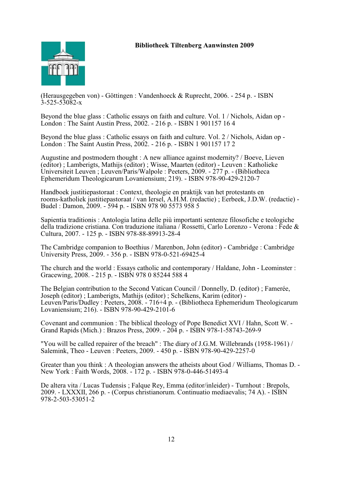

(Herausgegeben von) - Göttingen : Vandenhoeck & Ruprecht, 2006. - 254 p. - ISBN 3-525-53082-x

Beyond the blue glass : Catholic essays on faith and culture. Vol. 1 / Nichols, Aidan op - London : The Saint Austin Press, 2002. - 216 p. - ISBN 1 901157 16 4

Beyond the blue glass : Catholic essays on faith and culture. Vol. 2 / Nichols, Aidan op - London : The Saint Austin Press, 2002. - 216 p. - ISBN 1 901157 17 2

Augustine and postmodern thought : A new alliance against modernity? / Boeve, Lieven (editor) ; Lamberigts, Mathijs (editor) ; Wisse, Maarten (editor) - Leuven : Katholieke Universiteit Leuven ; Leuven/Paris/Walpole : Peeters, 2009. - 277 p. - (Bibliotheca Ephemeridum Theologicarum Lovaniensium; 219). - ISBN 978-90-429-2120-7

Handboek justitiepastoraat : Context, theologie en praktijk van het protestants en rooms-katholiek justitiepastoraat / van Iersel, A.H.M. (redactie) ; Eerbeek, J.D.W. (redactie) - Budel : Damon, 2009. - 594 p. - ISBN 978 90 5573 958 5

Sapientia traditionis : Antologia latina delle più importanti sentenze filosofiche e teologiche della tradizione cristiana. Con traduzione italiana / Rossetti, Carlo Lorenzo - Verona : Fede & Cultura, 2007. - 125 p. - ISBN 978-88-89913-28-4

The Cambridge companion to Boethius / Marenbon, John (editor) - Cambridge : Cambridge University Press, 2009. - 356 p. - ISBN 978-0-521-69425-4

The church and the world : Essays catholic and contemporary / Haldane, John - Leominster : Gracewing, 2008. - 215 p. - ISBN 978 0 85244 588 4

The Belgian contribution to the Second Vatican Council / Donnelly, D. (editor) ; Famerée, Joseph (editor) ; Lamberigts, Mathijs (editor) ; Schelkens, Karim (editor) - Leuven/Paris/Dudley : Peeters, 2008. - 716+4 p. - (Bibliotheca Ephemeridum Theologicarum Lovaniensium; 216). - ISBN 978-90-429-2101-6

Covenant and communion : The biblical theology of Pope Benedict XVI / Hahn, Scott W. - Grand Rapids (Mich.) : Brazos Press, 2009. - 204 p. - ISBN 978-1-58743-269-9

"You will be called repairer of the breach" : The diary of J.G.M. Willebrands (1958-1961) / Salemink, Theo - Leuven : Peeters, 2009. - 450 p. - ISBN 978-90-429-2257-0

Greater than you think : A theologian answers the atheists about God / Williams, Thomas D. - New York : Faith Words, 2008. - 172 p. - ISBN 978-0-446-51493-4

De altera vita / Lucas Tudensis ; Falque Rey, Emma (editor/inleider) - Turnhout : Brepols, 2009. - LXXXII, 266 p. - (Corpus christianorum. Continuatio mediaevalis; 74 A). - ISBN 978-2-503-53051-2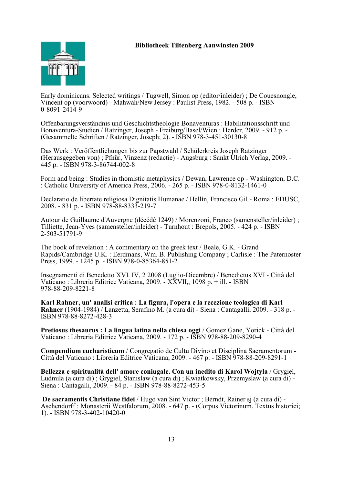

Early dominicans. Selected writings / Tugwell, Simon op (editor/inleider) ; De Couesnongle, Vincent op (voorwoord) - Mahwah/New Jersey : Paulist Press, 1982. - 508 p. - ISBN 0-8091-2414-9

Offenbarungsverständnis und Geschichtstheologie Bonaventuras : Habilitationsschrift und Bonaventura-Studien / Ratzinger, Joseph - Freiburg/Basel/Wien : Herder, 2009. - 912 p. - (Gesammelte Schriften / Ratzinger, Joseph; 2). - ISBN 978-3-451-30130-8

Das Werk : Veröffentlichungen bis zur Papstwahl / Schülerkreis Joseph Ratzinger (Herausgegeben von) ; Pfnür, Vinzenz (redactie) - Augsburg : Sankt Ulrich Verlag, 2009. - 445 p. - ISBN 978-3-86744-002-8

Form and being : Studies in thomistic metaphysics / Dewan, Lawrence op - Washington, D.C. : Catholic University of America Press, 2006. - 265 p. - ISBN 978-0-8132-1461-0

Declaratio de libertate religiosa Dignitatis Humanae / Hellín, Francisco Gil - Roma : EDUSC, 2008. - 831 p. - ISBN 978-88-8333-219-7

Autour de Guillaume d'Auvergne (décédé 1249) / Morenzoni, Franco (samensteller/inleider) ; Tilliette, Jean-Yves (samensteller/inleider) - Turnhout : Brepols, 2005. - 424 p. - ISBN 2-503-51791-9

The book of revelation : A commentary on the greek text / Beale, G.K. - Grand Rapids/Cambridge U.K. : Eerdmans, Wm. B. Publishing Company ; Carlisle : The Paternoster Press, 1999. - 1245 p. - ISBN 978-0-85364-851-2

Insegnamenti di Benedetto XVI. IV, 2 2008 (Luglio-Dicembre) / Benedictus XVI - Città del Vaticano : Libreria Editrice Vaticana, 2009. - XXVII,, 1098 p. + ill. - ISBN 978-88-209-8221-8

**Karl Rahner, un' analisi critica : La figura, l'opera e la recezione teologica di Karl Rahner** (1904-1984) / Lanzetta, Serafino M. (a cura di) - Siena : Cantagalli, 2009. - 318 p. - ISBN 978-88-8272-428-3

**Pretiosus thesaurus : La lingua latina nella chiesa oggi** / Gomez Gane, Yorick - Città del Vaticano : Libreria Editrice Vaticana, 2009. - 172 p. - ISBN 978-88-209-8290-4

**Compendium eucharisticum** / Congregatio de Cultu Divino et Disciplina Sacramentorum - Città del Vaticano : Libreria Editrice Vaticana, 2009. - 467 p. - ISBN 978-88-209-8291-1

Bellezza e spiritualità dell'amore coniugale. Con un inedito di Karol Wojtyla / Grygiel, Ludmila (a cura di) ; Grygiel, Stanislaw (a cura di) ; Kwiatkowsky, Przemyslaw (a cura di) - Siena : Cantagalli, 2009. - 84 p. - ISBN 978-88-8272-453-5

**De sacramentis Christiane fidei** / Hugo van Sint Victor ; Berndt, Rainer sj (a cura di) - Aschendorff : Monasterii Westfalorum, 2008. - 647 p. - (Corpus Victorinum. Textus historici; 1). - ISBN 978-3-402-10420-0